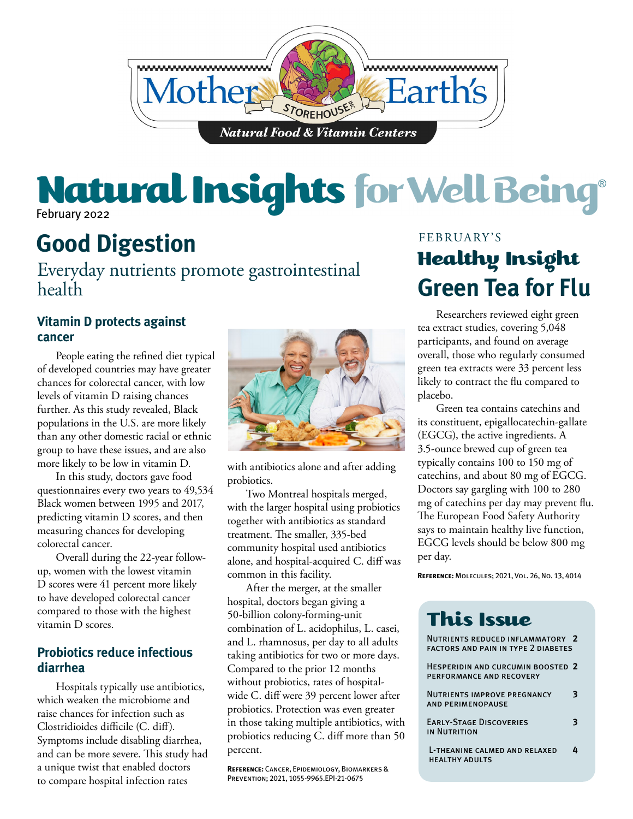

## February 2022 Natural Insights for Well Being®

# **Good Digestion**

Everyday nutrients promote gastrointestinal health

### **Vitamin D protects against cancer**

People eating the refined diet typical of developed countries may have greater chances for colorectal cancer, with low levels of vitamin D raising chances further. As this study revealed, Black populations in the U.S. are more likely than any other domestic racial or ethnic group to have these issues, and are also more likely to be low in vitamin D.

In this study, doctors gave food questionnaires every two years to 49,534 Black women between 1995 and 2017, predicting vitamin D scores, and then measuring chances for developing colorectal cancer.

Overall during the 22-year followup, women with the lowest vitamin D scores were 41 percent more likely to have developed colorectal cancer compared to those with the highest vitamin D scores.

### **Probiotics reduce infectious diarrhea**

Hospitals typically use antibiotics, which weaken the microbiome and raise chances for infection such as Clostridioides difficile (C. diff). Symptoms include disabling diarrhea, and can be more severe. This study had a unique twist that enabled doctors to compare hospital infection rates



with antibiotics alone and after adding probiotics.

Two Montreal hospitals merged, with the larger hospital using probiotics together with antibiotics as standard treatment. The smaller, 335-bed community hospital used antibiotics alone, and hospital-acquired C. diff was common in this facility.

After the merger, at the smaller hospital, doctors began giving a 50-billion colony-forming-unit combination of L. acidophilus, L. casei, and L. rhamnosus, per day to all adults taking antibiotics for two or more days. Compared to the prior 12 months without probiotics, rates of hospitalwide C. diff were 39 percent lower after probiotics. Protection was even greater in those taking multiple antibiotics, with probiotics reducing C. diff more than 50 percent.

**Reference:** Cancer, Epidemiology, Biomarkers & Prevention; 2021, 1055-9965.EPI-21-0675

### FEBRUARY'S Healthy Insight **Green Tea for Flu**

Researchers reviewed eight green tea extract studies, covering 5,048 participants, and found on average overall, those who regularly consumed green tea extracts were 33 percent less likely to contract the flu compared to placebo.

Green tea contains catechins and its constituent, epigallocatechin-gallate (EGCG), the active ingredients. A 3.5-ounce brewed cup of green tea typically contains 100 to 150 mg of catechins, and about 80 mg of EGCG. Doctors say gargling with 100 to 280 mg of catechins per day may prevent flu. The European Food Safety Authority says to maintain healthy live function, EGCG levels should be below 800 mg per day.

**Reference:** Molecules; 2021, Vol. 26, No. 13, 4014

| NUTRIENTS REDUCED INFLAMMATORY 2<br><b>FACTORS AND PAIN IN TYPE 2 DIABETES</b> |   |
|--------------------------------------------------------------------------------|---|
| HESPERIDIN AND CURCUMIN BOOSTED 2<br>PERFORMANCE AND RECOVERY                  |   |
| <b>NUTRIENTS IMPROVE PREGNANCY</b><br><b>AND PERIMENOPAUSE</b>                 | З |
| <b>EARLY-STAGE DISCOVERIES</b><br>IN NUTRITION                                 |   |
| L-THEANINE CALMED AND RELAXED<br><b>HEALTHY ADULTS</b>                         | 4 |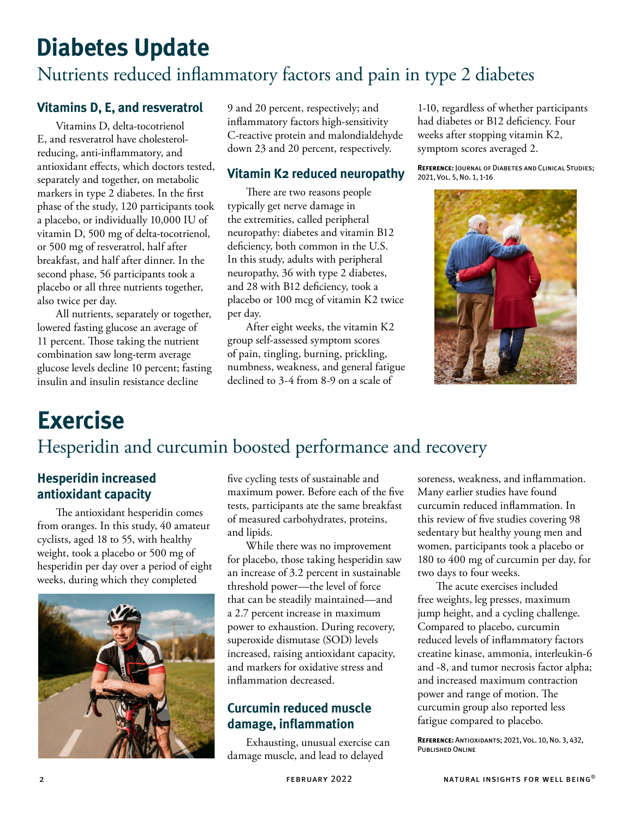# **Diabetes Update** Nutrients reduced inflammatory factors and pain in type 2 diabetes

### **Vitamins D, E, and resveratrol**

Vitamins D, delta-tocotrienol E, and resveratrol have cholesterolreducing, anti-inflammatory, and antioxidant effects, which doctors tested, separately and together, on metabolic markers in type 2 diabetes. In the first phase of the study, 120 participants took a placebo, or individually 10,000 IU of vitamin D, 500 mg of delta-tocotrienol, or 500 mg of resveratrol, half after breakfast, and half after dinner. In the second phase, 56 participants took a placebo or all three nutrients together, also twice per day.

All nutrients, separately or together, lowered fasting glucose an average of 11 percent. Those taking the nutrient combination saw long-term average glucose levels decline 10 percent; fasting insulin and insulin resistance decline

9 and 20 percent, respectively; and inflammatory factors high-sensitivity C-reactive protein and malondialdehyde down 23 and 20 percent, respectively.

### **Vitamin K2 reduced neuropathy**

There are two reasons people typically get nerve damage in the extremities, called peripheral neuropathy: diabetes and vitamin B12 deficiency, both common in the U.S. In this study, adults with peripheral neuropathy, 36 with type 2 diabetes, and 28 with B12 deficiency, took a placebo or 100 mcg of vitamin K2 twice per day.

After eight weeks, the vitamin K2 group self-assessed symptom scores of pain, tingling, burning, prickling, numbness, weakness, and general fatigue declined to 3-4 from 8-9 on a scale of

1-10, regardless of whether participants had diabetes or B12 deficiency. Four weeks after stopping vitamin K2, symptom scores averaged 2.

**Reference:** Journal of Diabetes and Clinical Studies; 2021, Vol. 5, No. 1, 1-16



## **Exercise** Hesperidin and curcumin boosted performance and recovery

### **Hesperidin increased antioxidant capacity**

The antioxidant hesperidin comes from oranges. In this study, 40 amateur cyclists, aged 18 to 55, with healthy weight, took a placebo or 500 mg of hesperidin per day over a period of eight weeks, during which they completed



five cycling tests of sustainable and maximum power. Before each of the five tests, participants ate the same breakfast of measured carbohydrates, proteins, and lipids.

While there was no improvement for placebo, those taking hesperidin saw an increase of 3.2 percent in sustainable threshold power—the level of force that can be steadily maintained—and a 2.7 percent increase in maximum power to exhaustion. During recovery, superoxide dismutase (SOD) levels increased, raising antioxidant capacity, and markers for oxidative stress and inflammation decreased.

### **Curcumin reduced muscle damage, inflammation**

Exhausting, unusual exercise can damage muscle, and lead to delayed

soreness, weakness, and inflammation. Many earlier studies have found curcumin reduced inflammation. In this review of five studies covering 98 sedentary but healthy young men and women, participants took a placebo or 180 to 400 mg of curcumin per day, for two days to four weeks.

The acute exercises included free weights, leg presses, maximum jump height, and a cycling challenge. Compared to placebo, curcumin reduced levels of inflammatory factors creatine kinase, ammonia, interleukin-6 and -8, and tumor necrosis factor alpha; and increased maximum contraction power and range of motion. The curcumin group also reported less fatigue compared to placebo.

**Reference:** Antioxidants; 2021, Vol. 10, No. 3, 432, PUBLISHED ONLINE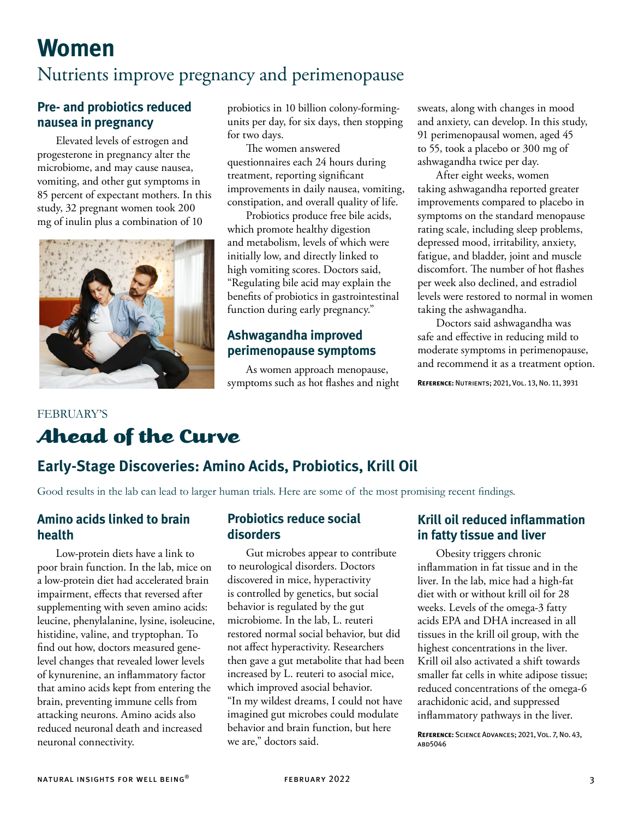# **Women**

### Nutrients improve pregnancy and perimenopause

#### **Pre- and probiotics reduced nausea in pregnancy**

Elevated levels of estrogen and progesterone in pregnancy alter the microbiome, and may cause nausea, vomiting, and other gut symptoms in 85 percent of expectant mothers. In this study, 32 pregnant women took 200 mg of inulin plus a combination of 10



probiotics in 10 billion colony-formingunits per day, for six days, then stopping for two days.

The women answered questionnaires each 24 hours during treatment, reporting significant improvements in daily nausea, vomiting, constipation, and overall quality of life.

Probiotics produce free bile acids, which promote healthy digestion and metabolism, levels of which were initially low, and directly linked to high vomiting scores. Doctors said, "Regulating bile acid may explain the benefits of probiotics in gastrointestinal function during early pregnancy."

### **Ashwagandha improved perimenopause symptoms**

As women approach menopause, symptoms such as hot flashes and night sweats, along with changes in mood and anxiety, can develop. In this study, 91 perimenopausal women, aged 45 to 55, took a placebo or 300 mg of ashwagandha twice per day.

After eight weeks, women taking ashwagandha reported greater improvements compared to placebo in symptoms on the standard menopause rating scale, including sleep problems, depressed mood, irritability, anxiety, fatigue, and bladder, joint and muscle discomfort. The number of hot flashes per week also declined, and estradiol levels were restored to normal in women taking the ashwagandha.

Doctors said ashwagandha was safe and effective in reducing mild to moderate symptoms in perimenopause, and recommend it as a treatment option.

**Reference:** Nutrients; 2021, Vol. 13, No. 11, 3931

### FEBRUARY'S Ahead of the Curve

### **Early-Stage Discoveries: Amino Acids, Probiotics, Krill Oil**

Good results in the lab can lead to larger human trials. Here are some of the most promising recent findings.

#### **Amino acids linked to brain health**

Low-protein diets have a link to poor brain function. In the lab, mice on a low-protein diet had accelerated brain impairment, effects that reversed after supplementing with seven amino acids: leucine, phenylalanine, lysine, isoleucine, histidine, valine, and tryptophan. To find out how, doctors measured genelevel changes that revealed lower levels of kynurenine, an inflammatory factor that amino acids kept from entering the brain, preventing immune cells from attacking neurons. Amino acids also reduced neuronal death and increased neuronal connectivity.

#### **Probiotics reduce social disorders**

Gut microbes appear to contribute to neurological disorders. Doctors discovered in mice, hyperactivity is controlled by genetics, but social behavior is regulated by the gut microbiome. In the lab, L. reuteri restored normal social behavior, but did not affect hyperactivity. Researchers then gave a gut metabolite that had been increased by L. reuteri to asocial mice, which improved asocial behavior. "In my wildest dreams, I could not have imagined gut microbes could modulate behavior and brain function, but here we are," doctors said.

### **Krill oil reduced inflammation in fatty tissue and liver**

Obesity triggers chronic inflammation in fat tissue and in the liver. In the lab, mice had a high-fat diet with or without krill oil for 28 weeks. Levels of the omega-3 fatty acids EPA and DHA increased in all tissues in the krill oil group, with the highest concentrations in the liver. Krill oil also activated a shift towards smaller fat cells in white adipose tissue; reduced concentrations of the omega-6 arachidonic acid, and suppressed inflammatory pathways in the liver.

**Reference:** Science Advances; 2021, Vol. 7, No. 43, abd5046